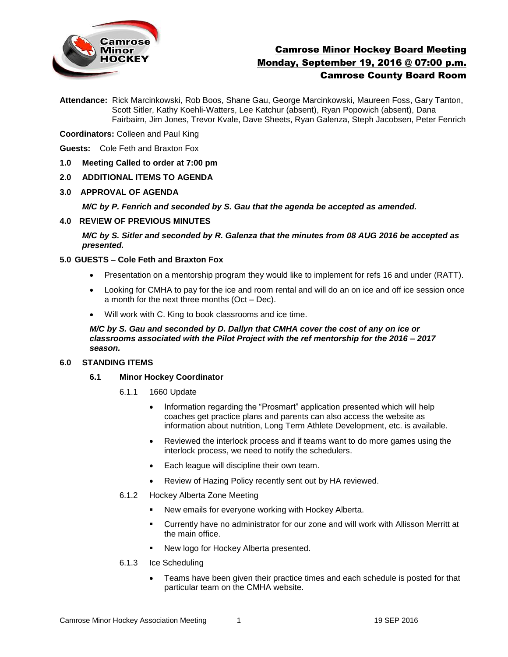

# Camrose Minor Hockey Board Meeting Monday, September 19, 2016 @ 07:00 p.m. Camrose County Board Room

**Attendance:** Rick Marcinkowski, Rob Boos, Shane Gau, George Marcinkowski, Maureen Foss, Gary Tanton, Scott Sitler, Kathy Koehli-Watters, Lee Katchur (absent), Ryan Popowich (absent), Dana Fairbairn, Jim Jones, Trevor Kvale, Dave Sheets, Ryan Galenza, Steph Jacobsen, Peter Fenrich

**Coordinators:** Colleen and Paul King

**Guests:** Cole Feth and Braxton Fox

- **1.0 Meeting Called to order at 7:00 pm**
- **2.0 ADDITIONAL ITEMS TO AGENDA**
- **3.0 APPROVAL OF AGENDA**

*M/C by P. Fenrich and seconded by S. Gau that the agenda be accepted as amended.* 

#### **4.0 REVIEW OF PREVIOUS MINUTES**

*M/C by S. Sitler and seconded by R. Galenza that the minutes from 08 AUG 2016 be accepted as presented.*

# **5.0 GUESTS – Cole Feth and Braxton Fox**

- Presentation on a mentorship program they would like to implement for refs 16 and under (RATT).
- Looking for CMHA to pay for the ice and room rental and will do an on ice and off ice session once a month for the next three months (Oct – Dec).
- Will work with C. King to book classrooms and ice time.

*M/C by S. Gau and seconded by D. Dallyn that CMHA cover the cost of any on ice or classrooms associated with the Pilot Project with the ref mentorship for the 2016 – 2017 season.* 

# **6.0 STANDING ITEMS**

- **6.1 Minor Hockey Coordinator** 
	- 6.1.1 1660 Update
		- Information regarding the "Prosmart" application presented which will help coaches get practice plans and parents can also access the website as information about nutrition, Long Term Athlete Development, etc. is available.
		- Reviewed the interlock process and if teams want to do more games using the interlock process, we need to notify the schedulers.
		- Each league will discipline their own team.
		- Review of Hazing Policy recently sent out by HA reviewed.
	- 6.1.2 Hockey Alberta Zone Meeting
		- New emails for everyone working with Hockey Alberta.
		- Currently have no administrator for our zone and will work with Allisson Merritt at the main office.
		- New logo for Hockey Alberta presented.
	- 6.1.3 Ice Scheduling
		- Teams have been given their practice times and each schedule is posted for that particular team on the CMHA website.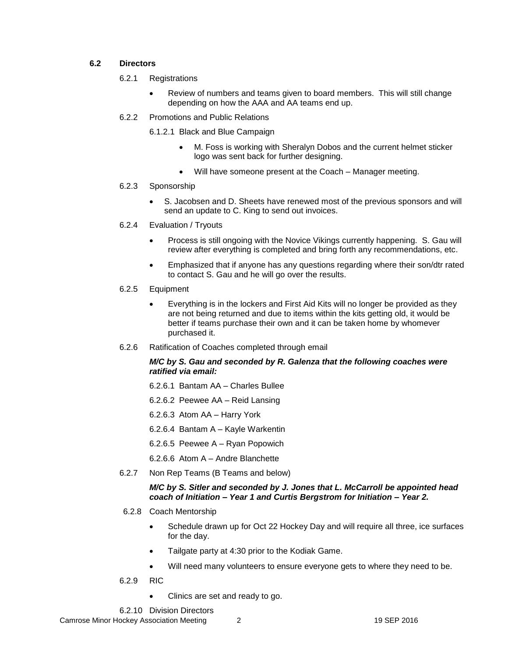# **6.2 Directors**

- 6.2.1 Registrations
	- Review of numbers and teams given to board members. This will still change depending on how the AAA and AA teams end up.
- 6.2.2 Promotions and Public Relations

6.1.2.1 Black and Blue Campaign

- M. Foss is working with Sheralyn Dobos and the current helmet sticker logo was sent back for further designing.
- Will have someone present at the Coach Manager meeting.

### 6.2.3 Sponsorship

- S. Jacobsen and D. Sheets have renewed most of the previous sponsors and will send an update to C. King to send out invoices.
- 6.2.4 Evaluation / Tryouts
	- Process is still ongoing with the Novice Vikings currently happening. S. Gau will review after everything is completed and bring forth any recommendations, etc.
	- Emphasized that if anyone has any questions regarding where their son/dtr rated to contact S. Gau and he will go over the results.
- 6.2.5 Equipment
	- Everything is in the lockers and First Aid Kits will no longer be provided as they are not being returned and due to items within the kits getting old, it would be better if teams purchase their own and it can be taken home by whomever purchased it.
- 6.2.6 Ratification of Coaches completed through email

### *M/C by S. Gau and seconded by R. Galenza that the following coaches were ratified via email:*

- 6.2.6.1 Bantam AA Charles Bullee
- 6.2.6.2 Peewee AA Reid Lansing
- 6.2.6.3 Atom AA Harry York
- 6.2.6.4 Bantam A Kayle Warkentin
- 6.2.6.5 Peewee A Ryan Popowich
- 6.2.6.6 Atom A Andre Blanchette
- 6.2.7 Non Rep Teams (B Teams and below)

### *M/C by S. Sitler and seconded by J. Jones that L. McCarroll be appointed head coach of Initiation – Year 1 and Curtis Bergstrom for Initiation – Year 2.*

- 6.2.8 Coach Mentorship
	- Schedule drawn up for Oct 22 Hockey Day and will require all three, ice surfaces for the day.
	- Tailgate party at 4:30 prior to the Kodiak Game.
	- Will need many volunteers to ensure everyone gets to where they need to be.
- 6.2.9 RIC
	- Clinics are set and ready to go.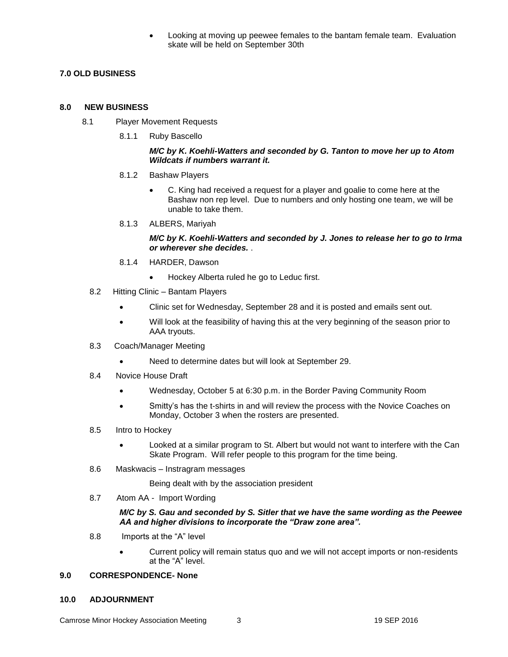Looking at moving up peewee females to the bantam female team. Evaluation skate will be held on September 30th

# **7.0 OLD BUSINESS**

#### **8.0 NEW BUSINESS**

- 8.1 Player Movement Requests
	- 8.1.1 Ruby Bascello

#### *M/C by K. Koehli-Watters and seconded by G. Tanton to move her up to Atom Wildcats if numbers warrant it.*

- 8.1.2 Bashaw Players
	- C. King had received a request for a player and goalie to come here at the Bashaw non rep level. Due to numbers and only hosting one team, we will be unable to take them.
- 8.1.3 ALBERS, Mariyah

#### *M/C by K. Koehli-Watters and seconded by J. Jones to release her to go to Irma or wherever she decides.* .

- 8.1.4 HARDER, Dawson
	- Hockey Alberta ruled he go to Leduc first.
- 8.2 Hitting Clinic Bantam Players
	- Clinic set for Wednesday, September 28 and it is posted and emails sent out.
	- Will look at the feasibility of having this at the very beginning of the season prior to AAA tryouts.
- 8.3 Coach/Manager Meeting
	- Need to determine dates but will look at September 29.
- 8.4 Novice House Draft
	- Wednesday, October 5 at 6:30 p.m. in the Border Paving Community Room
	- Smitty's has the t-shirts in and will review the process with the Novice Coaches on Monday, October 3 when the rosters are presented.
- 8.5 Intro to Hockey
	- Looked at a similar program to St. Albert but would not want to interfere with the Can Skate Program. Will refer people to this program for the time being.
- 8.6 Maskwacis Instragram messages

Being dealt with by the association president

8.7 Atom AA - Import Wording

#### *M/C by S. Gau and seconded by S. Sitler that we have the same wording as the Peewee AA and higher divisions to incorporate the "Draw zone area".*

- 8.8 Imports at the "A" level
	- Current policy will remain status quo and we will not accept imports or non-residents at the "A" level.

# **9.0 CORRESPONDENCE- None**

**10.0 ADJOURNMENT**